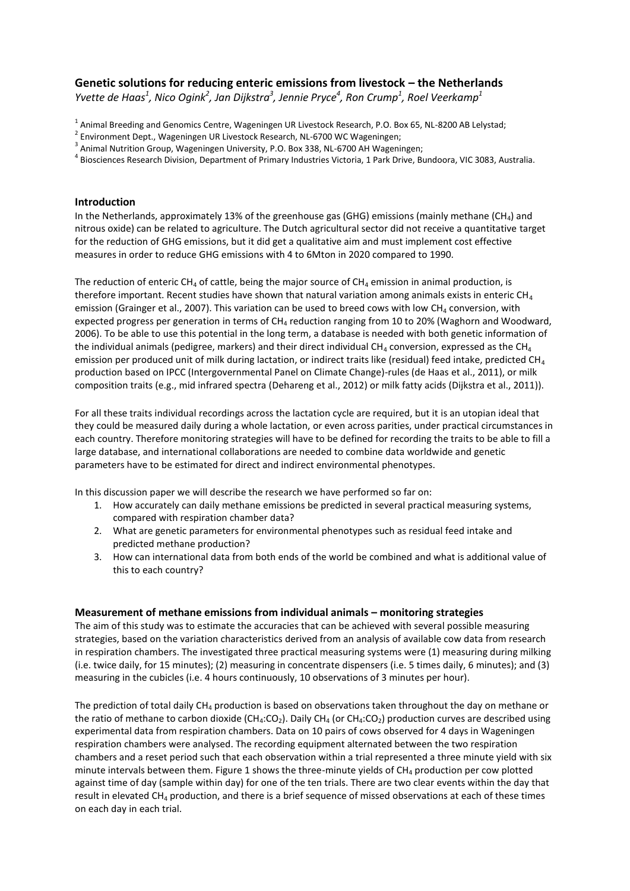# **Genetic solutions for reducing enteric emissions from livestock – the Netherlands**

*Yvette de Haas<sup>1</sup> , Nico Ogink<sup>2</sup> , Jan Dijkstra<sup>3</sup> , Jennie Pryce<sup>4</sup> , Ron Crump<sup>1</sup> , Roel Veerkamp<sup>1</sup>*

<sup>1</sup> Animal Breeding and Genomics Centre, Wageningen UR Livestock Research, P.O. Box 65, NL-8200 AB Lelystad;

<sup>4</sup> Biosciences Research Division, Department of Primary Industries Victoria, 1 Park Drive, Bundoora, VIC 3083, Australia.

# **Introduction**

In the Netherlands, approximately 13% of the greenhouse gas (GHG) emissions (mainly methane (CH<sub>4</sub>) and nitrous oxide) can be related to agriculture. The Dutch agricultural sector did not receive a quantitative target for the reduction of GHG emissions, but it did get a qualitative aim and must implement cost effective measures in order to reduce GHG emissions with 4 to 6Mton in 2020 compared to 1990.

The reduction of enteric CH<sub>4</sub> of cattle, being the major source of CH<sub>4</sub> emission in animal production, is therefore important. Recent studies have shown that natural variation among animals exists in enteric CH<sub>4</sub> emission [\(Grainger et al., 2007\)](#page-3-0). This variation can be used to breed cows with low CH<sub>4</sub> conversion, with expected progress per generation in terms of  $CH<sub>4</sub>$  reduction ranging from 10 to 20% (Waghorn and Woodward, [2006\)](#page-3-1). To be able to use this potential in the long term, a database is needed with both genetic information of the individual animals (pedigree, markers) and their direct individual  $CH_4$  conversion, expressed as the  $CH_4$ emission per produced unit of milk during lactation, or indirect traits like (residual) feed intake, predicted CH<sub>4</sub> production based on IPCC (Intergovernmental Panel on Climate Change)-rules [\(de Haas et al., 2011\)](#page-3-2), or milk composition traits (e.g., mid infrared spectra [\(Dehareng et al., 2012\)](#page-3-3) or milk fatty acids [\(Dijkstra et al., 2011\)](#page-3-4)).

For all these traits individual recordings across the lactation cycle are required, but it is an utopian ideal that they could be measured daily during a whole lactation, or even across parities, under practical circumstances in each country. Therefore monitoring strategies will have to be defined for recording the traits to be able to fill a large database, and international collaborations are needed to combine data worldwide and genetic parameters have to be estimated for direct and indirect environmental phenotypes.

In this discussion paper we will describe the research we have performed so far on:

- 1. How accurately can daily methane emissions be predicted in several practical measuring systems, compared with respiration chamber data?
- 2. What are genetic parameters for environmental phenotypes such as residual feed intake and predicted methane production?
- 3. How can international data from both ends of the world be combined and what is additional value of this to each country?

### **Measurement of methane emissions from individual animals – monitoring strategies**

The aim of this study was to estimate the accuracies that can be achieved with several possible measuring strategies, based on the variation characteristics derived from an analysis of available cow data from research in respiration chambers. The investigated three practical measuring systems were (1) measuring during milking (i.e. twice daily, for 15 minutes); (2) measuring in concentrate dispensers (i.e. 5 times daily, 6 minutes); and (3) measuring in the cubicles (i.e. 4 hours continuously, 10 observations of 3 minutes per hour).

The prediction of total daily  $CH_4$  production is based on observations taken throughout the day on methane or the ratio of methane to carbon dioxide (CH<sub>4</sub>:CO<sub>2</sub>). Daily CH<sub>4</sub> (or CH<sub>4</sub>:CO<sub>2</sub>) production curves are described using experimental data from respiration chambers. Data on 10 pairs of cows observed for 4 days in Wageningen respiration chambers were analysed. The recording equipment alternated between the two respiration chambers and a reset period such that each observation within a trial represented a three minute yield with six minute intervals between them. Figure 1 shows the three-minute yields of CH<sub>4</sub> production per cow plotted against time of day (sample within day) for one of the ten trials. There are two clear events within the day that result in elevated CH<sup>4</sup> production, and there is a brief sequence of missed observations at each of these times on each day in each trial.

<sup>&</sup>lt;sup>2</sup> Environment Dept., Wageningen UR Livestock Research, NL-6700 WC Wageningen;

<sup>&</sup>lt;sup>3</sup> Animal Nutrition Group, Wageningen University, P.O. Box 338, NL-6700 AH Wageningen;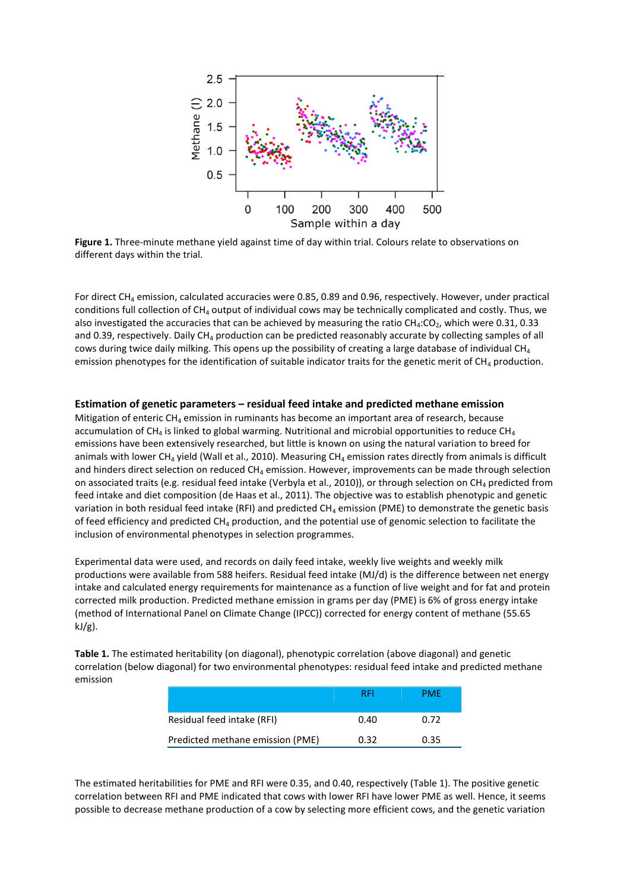

**Figure 1.** Three-minute methane yield against time of day within trial. Colours relate to observations on different days within the trial.

For direct CH<sub>4</sub> emission, calculated accuracies were 0.85, 0.89 and 0.96, respectively. However, under practical conditions full collection of CH<sub>4</sub> output of individual cows may be technically complicated and costly. Thus, we also investigated the accuracies that can be achieved by measuring the ratio  $CH_4:CO_2$ , which were 0.31, 0.33 and 0.39, respectively. Daily CH<sub>4</sub> production can be predicted reasonably accurate by collecting samples of all cows during twice daily milking. This opens up the possibility of creating a large database of individual  $CH<sub>4</sub>$ emission phenotypes for the identification of suitable indicator traits for the genetic merit of  $CH_4$  production.

#### **Estimation of genetic parameters – residual feed intake and predicted methane emission**

Mitigation of enteric  $CH_4$  emission in ruminants has become an important area of research, because accumulation of CH<sub>4</sub> is linked to global warming. Nutritional and microbial opportunities to reduce CH<sub>4</sub> emissions have been extensively researched, but little is known on using the natural variation to breed for animals with lower CH<sub>4</sub> yield [\(Wall et al., 2010\)](#page-3-5). Measuring CH<sub>4</sub> emission rates directly from animals is difficult and hinders direct selection on reduced  $CH<sub>4</sub>$  emission. However, improvements can be made through selection on associated traits (e.g. residual feed intake [\(Verbyla et al., 2010\)](#page-3-6)), or through selection on CH<sub>4</sub> predicted from feed intake and diet composition [\(de Haas et al., 2011\)](#page-3-2). The objective was to establish phenotypic and genetic variation in both residual feed intake (RFI) and predicted  $CH_4$  emission (PME) to demonstrate the genetic basis of feed efficiency and predicted  $CH_4$  production, and the potential use of genomic selection to facilitate the inclusion of environmental phenotypes in selection programmes.

Experimental data were used, and records on daily feed intake, weekly live weights and weekly milk productions were available from 588 heifers. Residual feed intake (MJ/d) is the difference between net energy intake and calculated energy requirements for maintenance as a function of live weight and for fat and protein corrected milk production. Predicted methane emission in grams per day (PME) is 6% of gross energy intake (method of International Panel on Climate Change (IPCC)) corrected for energy content of methane (55.65  $kJ/g$ ).

**Table 1.** The estimated heritability (on diagonal), phenotypic correlation (above diagonal) and genetic correlation (below diagonal) for two environmental phenotypes: residual feed intake and predicted methane emission

|                                  | RFI  | PMF  |
|----------------------------------|------|------|
| Residual feed intake (RFI)       | 0.40 | በ 72 |
| Predicted methane emission (PME) | 0.32 | 0.35 |

The estimated heritabilities for PME and RFI were 0.35, and 0.40, respectively (Table 1). The positive genetic correlation between RFI and PME indicated that cows with lower RFI have lower PME as well. Hence, it seems possible to decrease methane production of a cow by selecting more efficient cows, and the genetic variation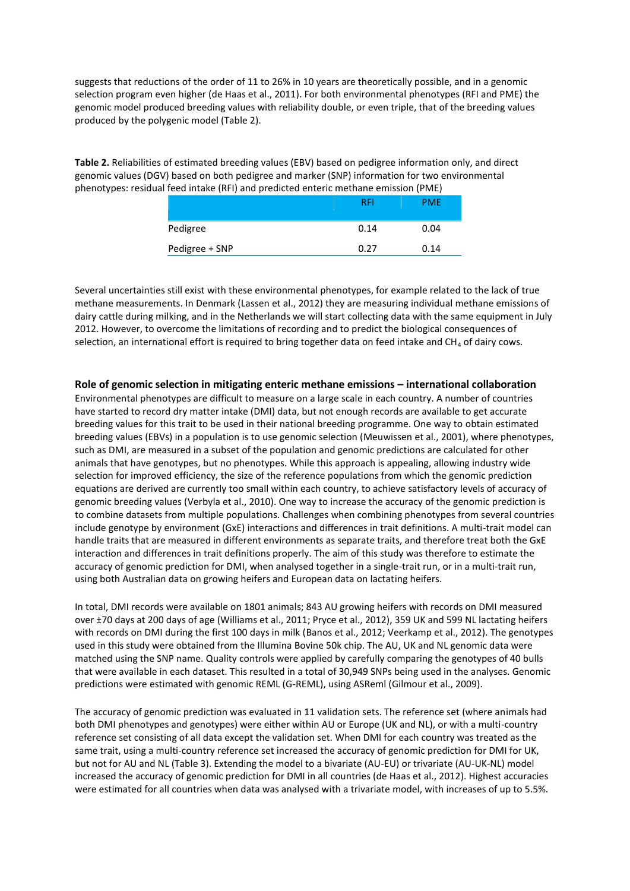suggests that reductions of the order of 11 to 26% in 10 years are theoretically possible, and in a genomic selection program even higher [\(de Haas et al., 2011\)](#page-3-2). For both environmental phenotypes (RFI and PME) the genomic model produced breeding values with reliability double, or even triple, that of the breeding values produced by the polygenic model (Table 2).

**Table 2.** Reliabilities of estimated breeding values (EBV) based on pedigree information only, and direct genomic values (DGV) based on both pedigree and marker (SNP) information for two environmental phenotypes: residual feed intake (RFI) and predicted enteric methane emission (PME)

|                | RFI  | <b>PME</b> |
|----------------|------|------------|
| Pedigree       | 0.14 | 0.04       |
| Pedigree + SNP | 0.27 | 0.14       |

Several uncertainties still exist with these environmental phenotypes, for example related to the lack of true methane measurements. In Denmark [\(Lassen et al., 2012\)](#page-3-7) they are measuring individual methane emissions of dairy cattle during milking, and in the Netherlands we will start collecting data with the same equipment in July 2012. However, to overcome the limitations of recording and to predict the biological consequences of selection, an international effort is required to bring together data on feed intake and CH<sub>4</sub> of dairy cows.

## **Role of genomic selection in mitigating enteric methane emissions – international collaboration**

Environmental phenotypes are difficult to measure on a large scale in each country. A number of countries have started to record dry matter intake (DMI) data, but not enough records are available to get accurate breeding values for this trait to be used in their national breeding programme. One way to obtain estimated breeding values (EBVs) in a population is to use genomic selection [\(Meuwissen et al., 2001\)](#page-3-8), where phenotypes, such as DMI, are measured in a subset of the population and genomic predictions are calculated for other animals that have genotypes, but no phenotypes. While this approach is appealing, allowing industry wide selection for improved efficiency, the size of the reference populations from which the genomic prediction equations are derived are currently too small within each country, to achieve satisfactory levels of accuracy of genomic breeding values [\(Verbyla et al., 2010\)](#page-3-6). One way to increase the accuracy of the genomic prediction is to combine datasets from multiple populations. Challenges when combining phenotypes from several countries include genotype by environment (GxE) interactions and differences in trait definitions. A multi-trait model can handle traits that are measured in different environments as separate traits, and therefore treat both the GxE interaction and differences in trait definitions properly. The aim of this study was therefore to estimate the accuracy of genomic prediction for DMI, when analysed together in a single-trait run, or in a multi-trait run, using both Australian data on growing heifers and European data on lactating heifers.

In total, DMI records were available on 1801 animals; 843 AU growing heifers with records on DMI measured over ±70 days at 200 days of age [\(Williams et al., 2011;](#page-3-9) [Pryce et al., 2012\)](#page-3-10), 359 UK and 599 NL lactating heifers with records on DMI during the first 100 days in milk [\(Banos et al., 2012;](#page-3-11) [Veerkamp et al., 2012\)](#page-3-12). The genotypes used in this study were obtained from the Illumina Bovine 50k chip. The AU, UK and NL genomic data were matched using the SNP name. Quality controls were applied by carefully comparing the genotypes of 40 bulls that were available in each dataset. This resulted in a total of 30,949 SNPs being used in the analyses. Genomic predictions were estimated with genomic REML (G-REML), using ASReml [\(Gilmour et al., 2009\)](#page-3-13).

The accuracy of genomic prediction was evaluated in 11 validation sets. The reference set (where animals had both DMI phenotypes and genotypes) were either within AU or Europe (UK and NL), or with a multi-country reference set consisting of all data except the validation set. When DMI for each country was treated as the same trait, using a multi-country reference set increased the accuracy of genomic prediction for DMI for UK, but not for AU and NL (Table 3). Extending the model to a bivariate (AU-EU) or trivariate (AU-UK-NL) model increased the accuracy of genomic prediction for DMI in all countries [\(de Haas et al., 2012\)](#page-3-14). Highest accuracies were estimated for all countries when data was analysed with a trivariate model, with increases of up to 5.5%.